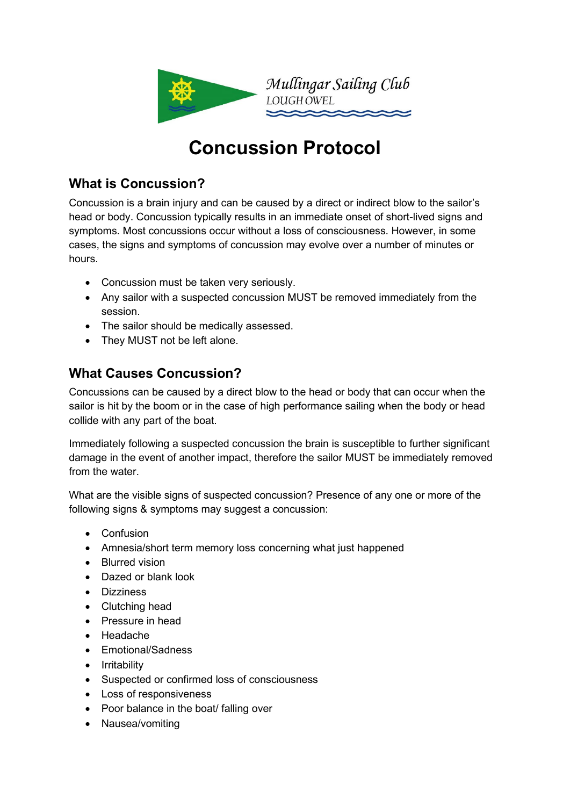

# **Concussion Protocol**

## **What is Concussion?**

Concussion is a brain injury and can be caused by a direct or indirect blow to the sailor's head or body. Concussion typically results in an immediate onset of short-lived signs and symptoms. Most concussions occur without a loss of consciousness. However, in some cases, the signs and symptoms of concussion may evolve over a number of minutes or hours.

- Concussion must be taken very seriously.
- Any sailor with a suspected concussion MUST be removed immediately from the session.
- The sailor should be medically assessed.
- They MUST not be left alone.

## **What Causes Concussion?**

Concussions can be caused by a direct blow to the head or body that can occur when the sailor is hit by the boom or in the case of high performance sailing when the body or head collide with any part of the boat.

Immediately following a suspected concussion the brain is susceptible to further significant damage in the event of another impact, therefore the sailor MUST be immediately removed from the water.

What are the visible signs of suspected concussion? Presence of any one or more of the following signs & symptoms may suggest a concussion:

- Confusion
- Amnesia/short term memory loss concerning what just happened
- Blurred vision
- Dazed or blank look
- Dizziness
- Clutching head
- Pressure in head
- Headache
- Emotional/Sadness
- Irritability
- Suspected or confirmed loss of consciousness
- Loss of responsiveness
- Poor balance in the boat/ falling over
- Nausea/vomiting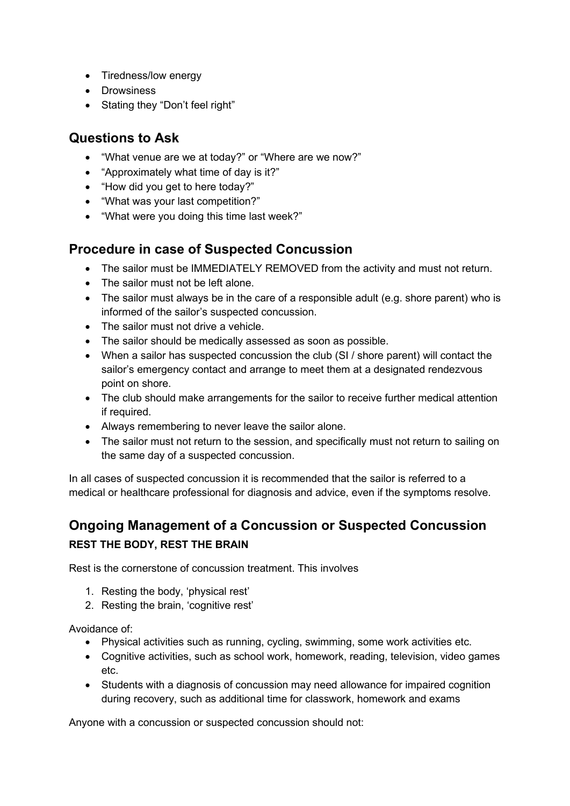- Tiredness/low energy
- Drowsiness
- Stating they "Don't feel right"

### **Questions to Ask**

- "What venue are we at today?" or "Where are we now?"
- "Approximately what time of day is it?"
- "How did you get to here today?"
- "What was your last competition?"
- "What were you doing this time last week?"

#### **Procedure in case of Suspected Concussion**

- The sailor must be IMMEDIATELY REMOVED from the activity and must not return.
- The sailor must not be left alone.
- The sailor must always be in the care of a responsible adult (e.g. shore parent) who is informed of the sailor's suspected concussion.
- The sailor must not drive a vehicle
- The sailor should be medically assessed as soon as possible.
- When a sailor has suspected concussion the club (SI / shore parent) will contact the sailor's emergency contact and arrange to meet them at a designated rendezvous point on shore.
- The club should make arrangements for the sailor to receive further medical attention if required.
- Always remembering to never leave the sailor alone.
- The sailor must not return to the session, and specifically must not return to sailing on the same day of a suspected concussion.

In all cases of suspected concussion it is recommended that the sailor is referred to a medical or healthcare professional for diagnosis and advice, even if the symptoms resolve.

## **Ongoing Management of a Concussion or Suspected Concussion REST THE BODY, REST THE BRAIN**

Rest is the cornerstone of concussion treatment. This involves

- 1. Resting the body, 'physical rest'
- 2. Resting the brain, 'cognitive rest'

Avoidance of:

- Physical activities such as running, cycling, swimming, some work activities etc.
- Cognitive activities, such as school work, homework, reading, television, video games etc.
- Students with a diagnosis of concussion may need allowance for impaired cognition during recovery, such as additional time for classwork, homework and exams

Anyone with a concussion or suspected concussion should not: